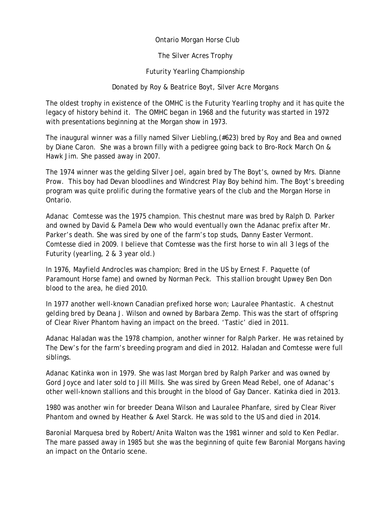Ontario Morgan Horse Club

The Silver Acres Trophy

Futurity Yearling Championship

Donated by Roy & Beatrice Boyt, Silver Acre Morgans

The oldest trophy in existence of the OMHC is the Futurity Yearling trophy and it has quite the legacy of history behind it. The OMHC began in 1968 and the futurity was started in 1972 with presentations beginning at the Morgan show in 1973.

The inaugural winner was a filly named Silver Liebling,(#623) bred by Roy and Bea and owned by Diane Caron. She was a brown filly with a pedigree going back to Bro-Rock March On & Hawk Jim. She passed away in 2007.

The 1974 winner was the gelding Silver Joel, again bred by The Boyt's, owned by Mrs. Dianne Prow. This boy had Devan bloodlines and Windcrest Play Boy behind him. The Boyt's breeding program was quite prolific during the formative years of the club and the Morgan Horse in Ontario.

Adanac Comtesse was the 1975 champion. This chestnut mare was bred by Ralph D. Parker and owned by David & Pamela Dew who would eventually own the Adanac prefix after Mr. Parker's death. She was sired by one of the farm's top studs, Danny Easter Vermont. Comtesse died in 2009. I believe that Comtesse was the first horse to win all 3 legs of the Futurity (yearling, 2 & 3 year old.)

In 1976, Mayfield Androcles was champion; Bred in the US by Ernest F. Paquette (of Paramount Horse fame) and owned by Norman Peck. This stallion brought Upwey Ben Don blood to the area, he died 2010.

In 1977 another well-known Canadian prefixed horse won; Lauralee Phantastic. A chestnut gelding bred by Deana J. Wilson and owned by Barbara Zemp. This was the start of offspring of Clear River Phantom having an impact on the breed. 'Tastic' died in 2011.

Adanac Haladan was the 1978 champion, another winner for Ralph Parker. He was retained by The Dew's for the farm's breeding program and died in 2012. Haladan and Comtesse were full siblings.

Adanac Katinka won in 1979. She was last Morgan bred by Ralph Parker and was owned by Gord Joyce and later sold to Jill Mills. She was sired by Green Mead Rebel, one of Adanac's other well-known stallions and this brought in the blood of Gay Dancer. Katinka died in 2013.

1980 was another win for breeder Deana Wilson and Lauralee Phanfare, sired by Clear River Phantom and owned by Heather & Axel Starck. He was sold to the US and died in 2014.

Baronial Marquesa bred by Robert/Anita Walton was the 1981 winner and sold to Ken Pedlar. The mare passed away in 1985 but she was the beginning of quite few Baronial Morgans having an impact on the Ontario scene.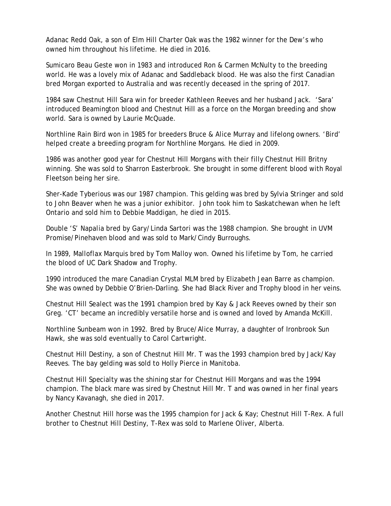Adanac Redd Oak, a son of Elm Hill Charter Oak was the 1982 winner for the Dew's who owned him throughout his lifetime. He died in 2016.

Sumicaro Beau Geste won in 1983 and introduced Ron & Carmen McNulty to the breeding world. He was a lovely mix of Adanac and Saddleback blood. He was also the first Canadian bred Morgan exported to Australia and was recently deceased in the spring of 2017.

1984 saw Chestnut Hill Sara win for breeder Kathleen Reeves and her husband Jack. 'Sara' introduced Beamington blood and Chestnut Hill as a force on the Morgan breeding and show world. Sara is owned by Laurie McQuade.

Northline Rain Bird won in 1985 for breeders Bruce & Alice Murray and lifelong owners. 'Bird' helped create a breeding program for Northline Morgans. He died in 2009.

1986 was another good year for Chestnut Hill Morgans with their filly Chestnut Hill Britny winning. She was sold to Sharron Easterbrook. She brought in some different blood with Royal Fleetson being her sire.

Sher-Kade Tyberious was our 1987 champion. This gelding was bred by Sylvia Stringer and sold to John Beaver when he was a junior exhibitor. John took him to Saskatchewan when he left Ontario and sold him to Debbie Maddigan, he died in 2015.

Double 'S' Napalia bred by Gary/Linda Sartori was the 1988 champion. She brought in UVM Promise/Pinehaven blood and was sold to Mark/Cindy Burroughs.

In 1989, Malloflax Marquis bred by Tom Malloy won. Owned his lifetime by Tom, he carried the blood of UC Dark Shadow and Trophy.

1990 introduced the mare Canadian Crystal MLM bred by Elizabeth Jean Barre as champion. She was owned by Debbie O'Brien-Darling. She had Black River and Trophy blood in her veins.

Chestnut Hill Sealect was the 1991 champion bred by Kay & Jack Reeves owned by their son Greg. 'CT' became an incredibly versatile horse and is owned and loved by Amanda McKill.

Northline Sunbeam won in 1992. Bred by Bruce/Alice Murray, a daughter of Ironbrook Sun Hawk, she was sold eventually to Carol Cartwright.

Chestnut Hill Destiny, a son of Chestnut Hill Mr. T was the 1993 champion bred by Jack/Kay Reeves. The bay gelding was sold to Holly Pierce in Manitoba.

Chestnut Hill Specialty was the shining star for Chestnut Hill Morgans and was the 1994 champion. The black mare was sired by Chestnut Hill Mr. T and was owned in her final years by Nancy Kavanagh, she died in 2017.

Another Chestnut Hill horse was the 1995 champion for Jack & Kay; Chestnut Hill T-Rex. A full brother to Chestnut Hill Destiny, T-Rex was sold to Marlene Oliver, Alberta.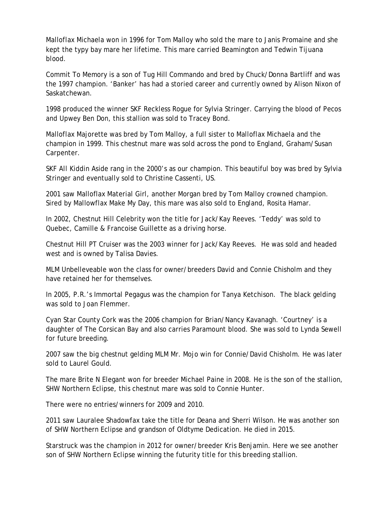Malloflax Michaela won in 1996 for Tom Malloy who sold the mare to Janis Promaine and she kept the typy bay mare her lifetime. This mare carried Beamington and Tedwin Tijuana blood.

Commit To Memory is a son of Tug Hill Commando and bred by Chuck/Donna Bartliff and was the 1997 champion. 'Banker' has had a storied career and currently owned by Alison Nixon of Saskatchewan.

1998 produced the winner SKF Reckless Rogue for Sylvia Stringer. Carrying the blood of Pecos and Upwey Ben Don, this stallion was sold to Tracey Bond.

Malloflax Majorette was bred by Tom Malloy, a full sister to Malloflax Michaela and the champion in 1999. This chestnut mare was sold across the pond to England, Graham/Susan Carpenter.

SKF All Kiddin Aside rang in the 2000's as our champion. This beautiful boy was bred by Sylvia Stringer and eventually sold to Christine Cassenti, US.

2001 saw Malloflax Material Girl, another Morgan bred by Tom Malloy crowned champion. Sired by Mallowflax Make My Day, this mare was also sold to England, Rosita Hamar.

In 2002, Chestnut Hill Celebrity won the title for Jack/Kay Reeves. 'Teddy' was sold to Quebec, Camille & Francoise Guillette as a driving horse.

Chestnut Hill PT Cruiser was the 2003 winner for Jack/Kay Reeves. He was sold and headed west and is owned by Talisa Davies.

MLM Unbelleveable won the class for owner/breeders David and Connie Chisholm and they have retained her for themselves.

In 2005, P.R.'s Immortal Pegagus was the champion for Tanya Ketchison. The black gelding was sold to Joan Flemmer.

Cyan Star County Cork was the 2006 champion for Brian/Nancy Kavanagh. 'Courtney' is a daughter of The Corsican Bay and also carries Paramount blood. She was sold to Lynda Sewell for future breeding.

2007 saw the big chestnut gelding MLM Mr. Mojo win for Connie/David Chisholm. He was later sold to Laurel Gould.

The mare Brite N Elegant won for breeder Michael Paine in 2008. He is the son of the stallion, SHW Northern Eclipse, this chestnut mare was sold to Connie Hunter.

There were no entries/winners for 2009 and 2010.

2011 saw Lauralee Shadowfax take the title for Deana and Sherri Wilson. He was another son of SHW Northern Eclipse and grandson of Oldtyme Dedication. He died in 2015.

Starstruck was the champion in 2012 for owner/breeder Kris Benjamin. Here we see another son of SHW Northern Eclipse winning the futurity title for this breeding stallion.